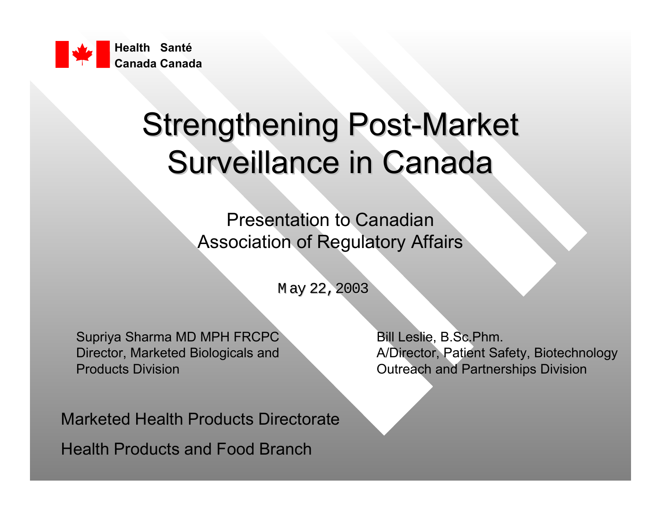

## **Strengthening Post-Market** Surveillance in Canada

Presentation to CanadianAssociation of Regulatory Affairs

May 22, 2003

Supriya Sharma MD MPH FRCPC Bill Leslie, B.Sc.Phm. **Products Division Controllering Controllering Controllering Controllering Controllering Controllering Controllering Controllering Controllering Controllering Controllering Controllering Controllering Controllering Control** 

Marketed Health Products DirectorateHealth Products and Food Branch

Director, Marketed Biologicals and **A**/Director, Patient Safety, Biotechnology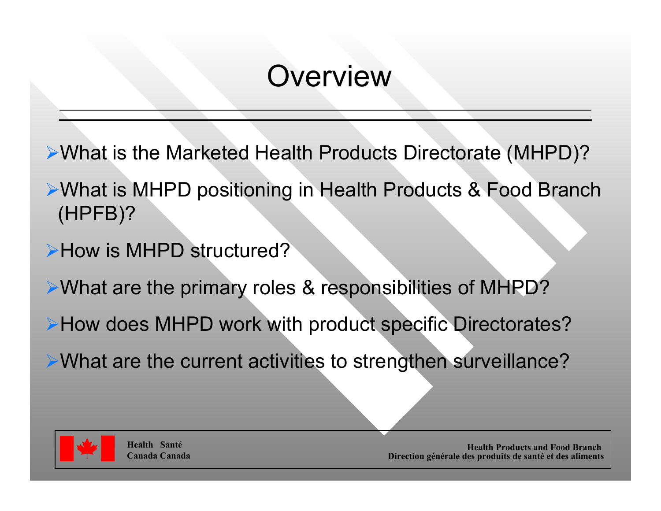#### **Overview**

- ¾What is the Marketed Health Products Directorate (MHPD)?
- ¾What is MHPD positioning in Health Products & Food Branch (HPFB)?
- **≻How is MHPD structured?**
- ¾What are the primary roles & responsibilities of MHPD?
- ¾How does MHPD work with product specific Directorates?
- ¾What are the current activities to strengthen surveillance?

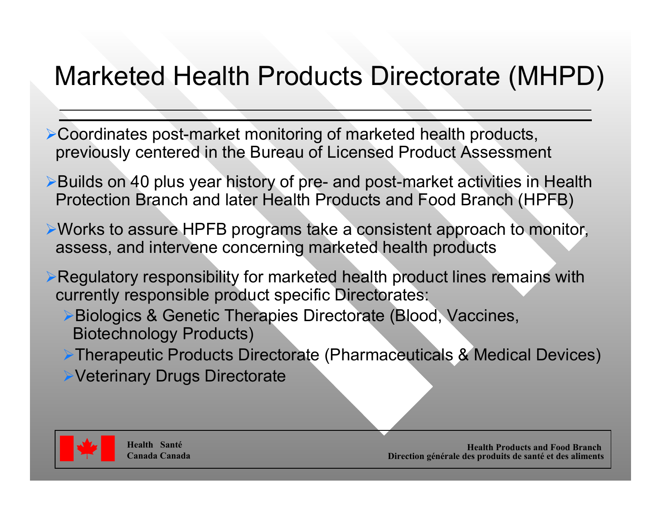#### Marketed Health Products Directorate (MHPD)

- ¾Coordinates post-market monitoring of marketed health products, previously centered in the Bureau of Licensed Product Assessment
- ¾Builds on 40 plus year history of pre- and post-market activities in Health Protection Branch and later Health Products and Food Branch (HPFB)
- ¾Works to assure HPFB programs take a consistent approach to monitor, assess, and intervene concerning marketed health products
- ¾Regulatory responsibility for marketed health product lines remains with currently responsible product specific Directorates:
	- ¾Biologics & Genetic Therapies Directorate (Blood, Vaccines, Biotechnology Products)
	- ¾Therapeutic Products Directorate (Pharmaceuticals & Medical Devices)
	- ¾Veterinary Drugs Directorate

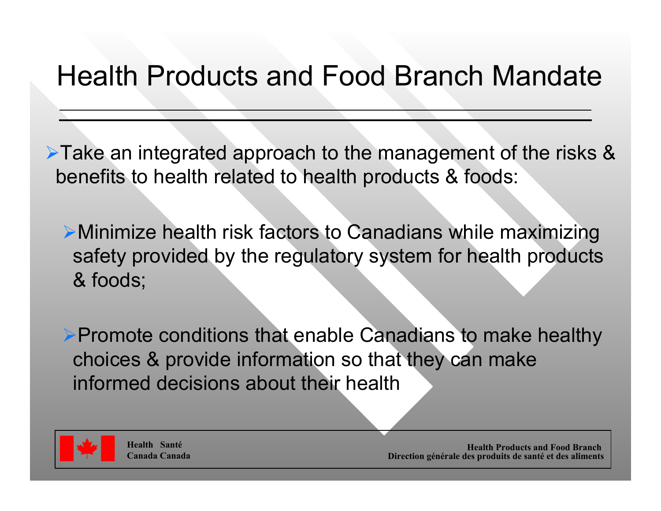#### Health Products and Food Branch Mandate

¾Take an integrated approach to the management of the risks & benefits to health related to health products & foods:

¾Minimize health risk factors to Canadians while maximizing safety provided by the regulatory system for health products & foods;

¾Promote conditions that enable Canadians to make healthy choices & provide information so that they can make informed decisions about their health



**Health SantéCanada Canada**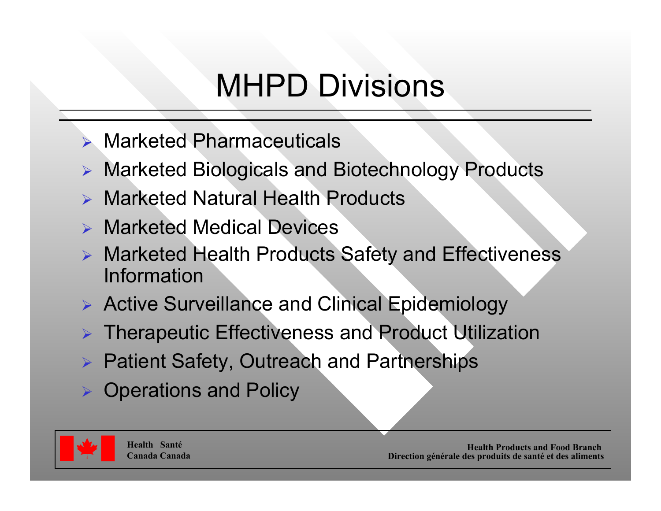# MHPD Divisions

- ¾ Marketed Pharmaceuticals
- ¾ Marketed Biologicals and Biotechnology Products
- ¾ Marketed Natural Health Products
- ¾ Marketed Medical Devices
- ¾ Marketed Health Products Safety and Effectiveness Information
- ¾ Active Surveillance and Clinical Epidemiology
- ¾ Therapeutic Effectiveness and Product Utilization
- ¾ Patient Safety, Outreach and Partnerships
- ¾ Operations and Policy

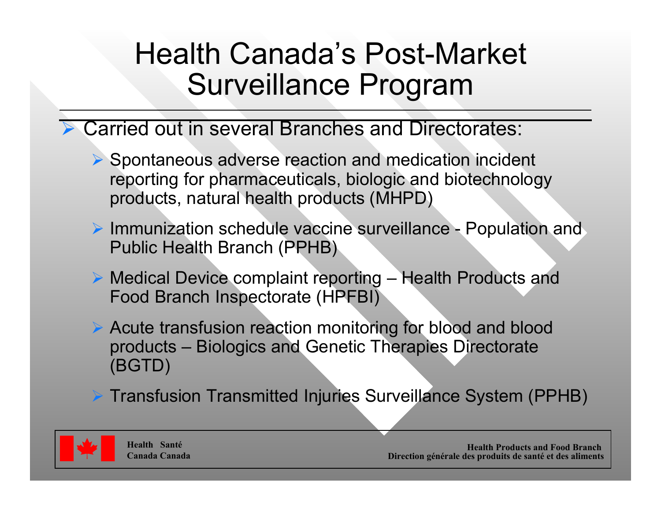#### Health Canada's Post-Market Surveillance Program

- ¾ Carried out in several Branches and Directorates:
	- ¾ Spontaneous adverse reaction and medication incident reporting for pharmaceuticals, biologic and biotechnology products, natural health products (MHPD)
	- ¾ Immunization schedule vaccine surveillance Population and Public Health Branch (PPHB)
	- ¾ Medical Device complaint reporting Health Products and Food Branch Inspectorate (HPFBI)
	- ¾ Acute transfusion reaction monitoring for blood and blood products – Biologics and Genetic Therapies Directorate (BGTD)
	- ¾ Transfusion Transmitted Injuries Surveillance System (PPHB)

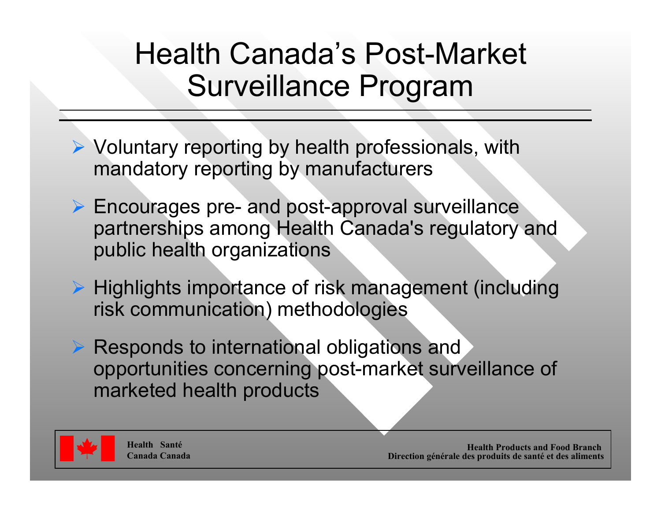#### Health Canada's Post-Market Surveillance Program

- ¾ Voluntary reporting by health professionals, with mandatory reporting by manufacturers
- ¾ Encourages pre- and post-approval surveillance partnerships among Health Canada's regulatory and public health organizations
- ¾ Highlights importance of risk management (including risk communication) methodologies
- **▶ Responds to international obligations and** opportunities concerning post-market surveillance of marketed health products

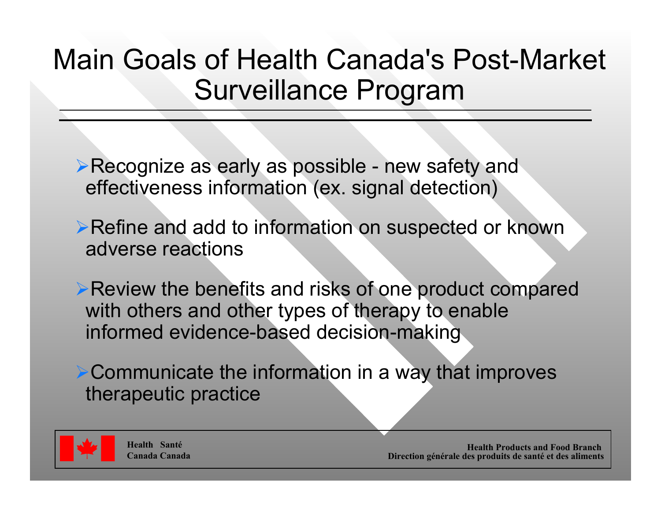#### Main Goals of Health Canada's Post-Market Surveillance Program

- ▶Recognize as early as possible new safety and effectiveness information (ex. signal detection)
- ¾Refine and add to information on suspected or known adverse reactions
- ¾Review the benefits and risks of one product compared with others and other types of therapy to enable informed evidence-based decision-making
- ¾Communicate the information in a way that improves therapeutic practice

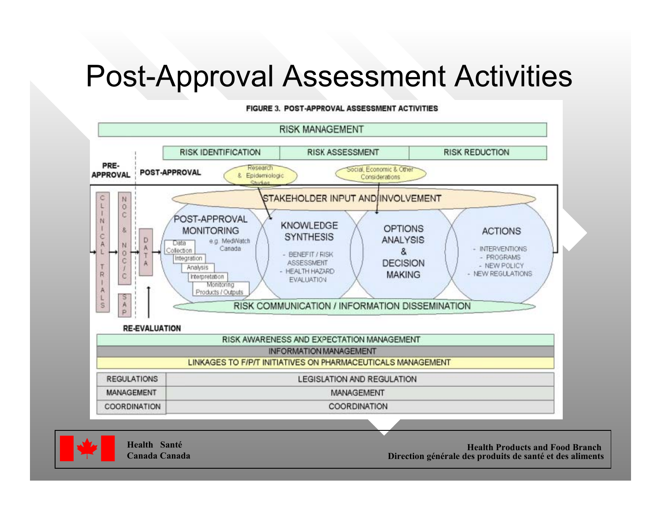#### Post-Approval Assessment Activities

#### FIGURE 3. POST-APPROVAL ASSESSMENT ACTIVITIES

#### **RISK MANAGEMENT**





**Health SantéCanada Canada**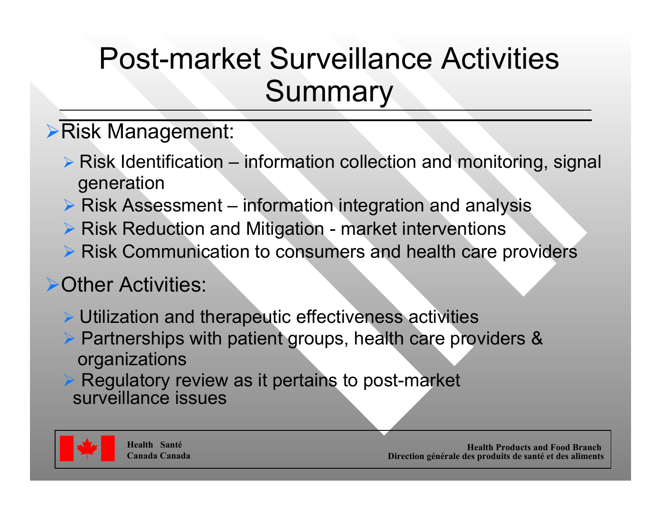### Post-market Surveillance Activities**Summary**

#### ¾Risk Management:

- ¾ Risk Identification information collection and monitoring, signal generation
- $\triangleright$  Risk Assessment information integration and analysis
- ▶ Risk Reduction and Mitigation market interventions
- ¾ Risk Communication to consumers and health care providers

#### ¾Other Activities:

- ¾ Utilization and therapeutic effectiveness activities
- ¾ Partnerships with patient groups, health care providers & organizations
- $\triangleright$  Regulatory review as it pertains to post-market surveillance issues

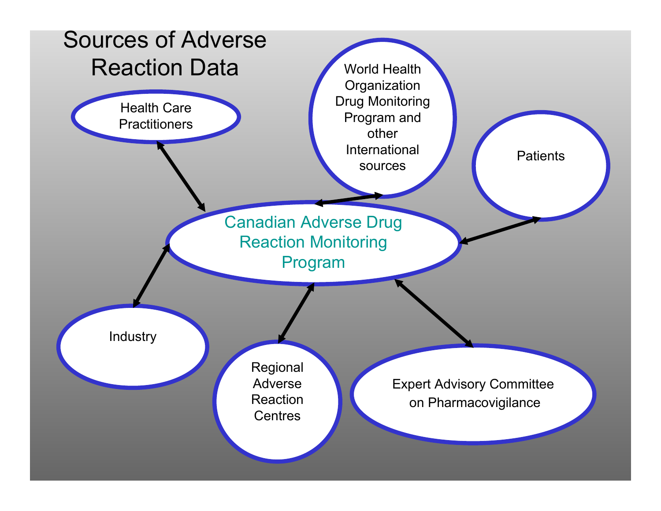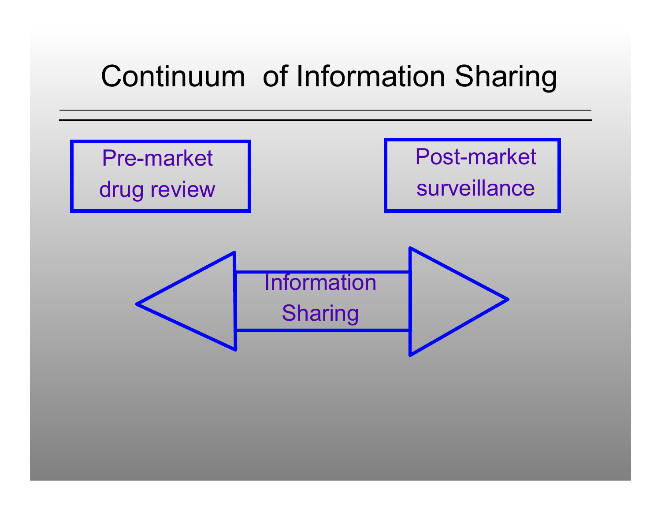## Continuum of Information Sharing

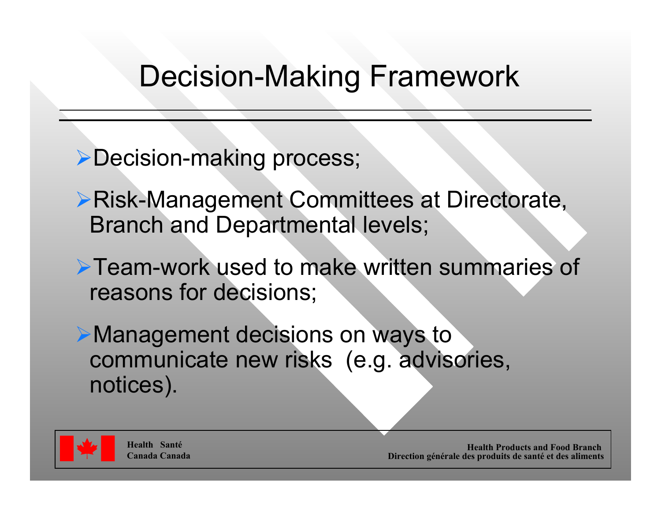#### Decision-Making Framework

- ¾Decision-making process;
- ¾Risk-Management Committees at Directorate, Branch and Departmental levels;
- ¾Team-work used to make written summaries of reasons for decisions;
- ¾Management decisions on ways to communicate new risks (e.g. advisories, notices).

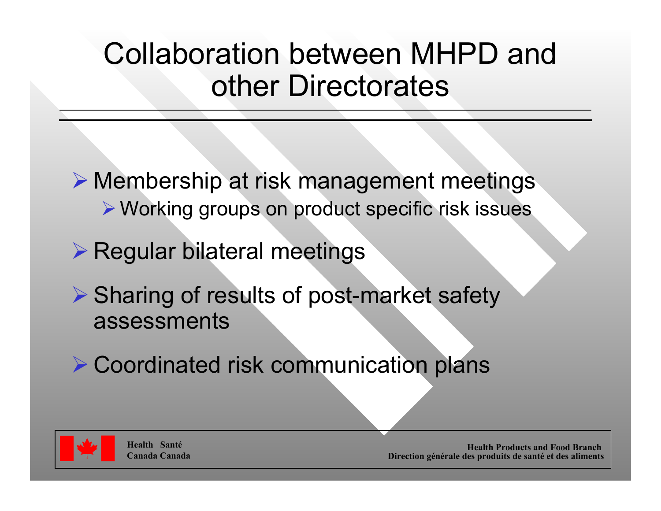### Collaboration between MHPD andother Directorates

- ¾ Membership at risk management meetings ¾Working groups on product specific risk issues
- ¾ Regular bilateral meetings
- **▶ Sharing of results of post-market safety** assessments
- ¾ Coordinated risk communication plans



**Health SantéCanada Canada**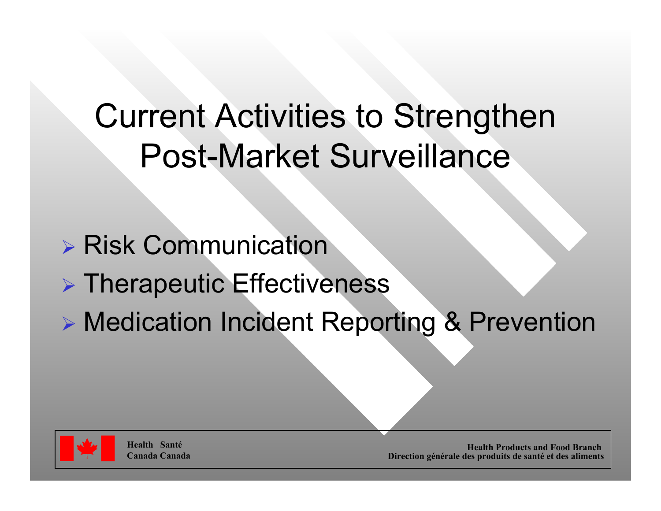# Current Activities to Strengthen Post-Market Surveillance

- ¾ Risk Communication
- ¾ Therapeutic Effectiveness
- ¾ Medication Incident Reporting & Prevention



**Health SantéCanada Canada**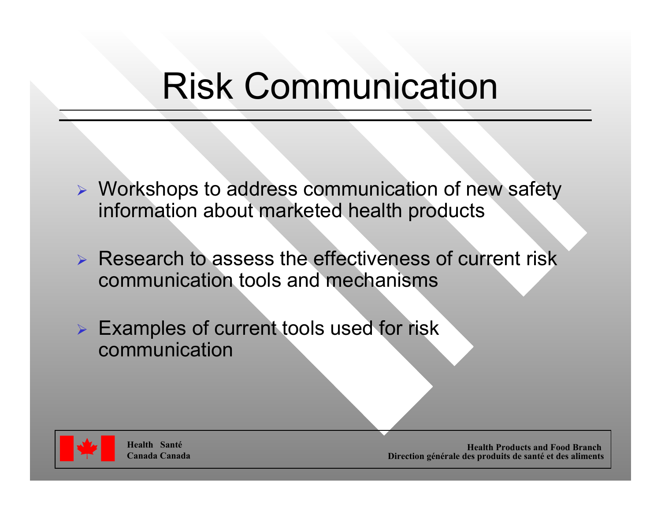# Risk Communication

- ¾ Workshops to address communication of new safety information about marketed health products
- ¾ Research to assess the effectiveness of current risk communication tools and mechanisms
- ¾ Examples of current tools used for risk communication



**Health SantéCanada Canada**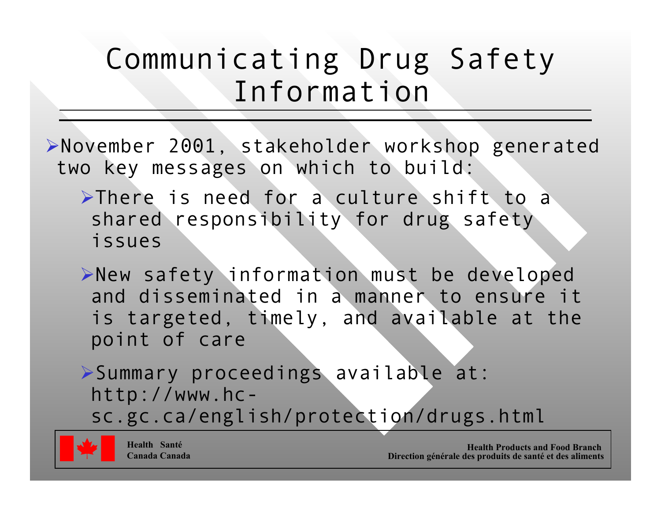#### Communicating Drug Safety Information

¾November 2001, stakeholder workshop generated two key messages on which to build:

¾There is need for a culture shift to a shared responsibility for drug safety issues

¾New safety information must be developed and disseminated in a manner to ensure it is targeted, timely, and available at the point of care

¾Summary proceedings available at: http://www.hcsc.gc.ca/english/protection/drugs.html

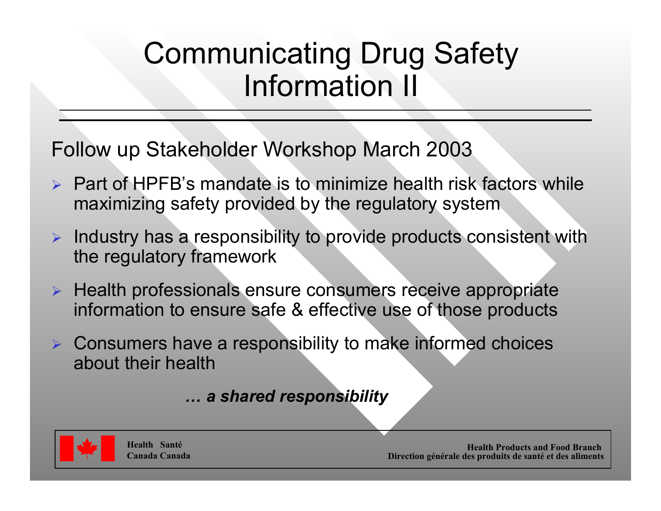#### Communicating Drug Safety Information II

Follow up Stakeholder Workshop March 2003

- ¾ Part of HPFB's mandate is to minimize health risk factors while maximizing safety provided by the regulatory system
- $\triangleright$  Industry has a responsibility to provide products consistent with the regulatory framework
- ¾ Health professionals ensure consumers receive appropriate information to ensure safe & effective use of those products
- ¾ Consumers have a responsibility to make informed choices about their health

*… a shared responsibility*

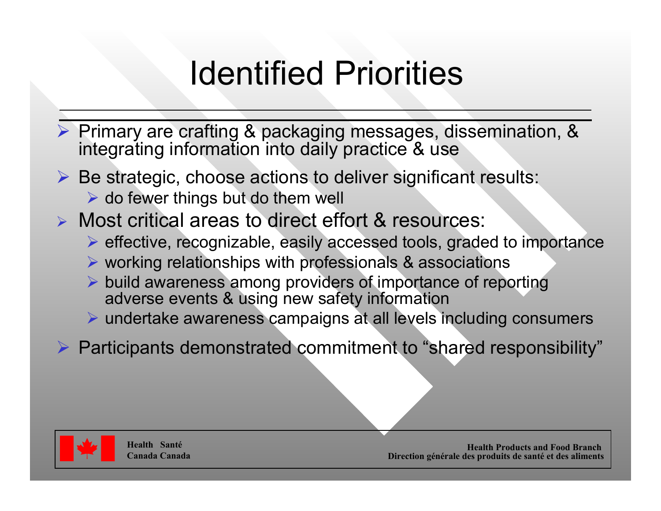# Identified Priorities

¾ Primary are crafting & packaging messages, dissemination, & integrating information into daily practice & use

- $\triangleright$  Be strategic, choose actions to deliver significant results:
	- $\triangleright$  do fewer things but do them well

¾ Most critical areas to direct effort & resources:

- ¾ effective, recognizable, easily accessed tools, graded to importance
- ¾ working relationships with professionals & associations
- ¾ build awareness among providers of importance of reporting adverse events & using new safety information
- ¾ undertake awareness campaigns at all levels including consumers
- ¾ Participants demonstrated commitment to "shared responsibility"

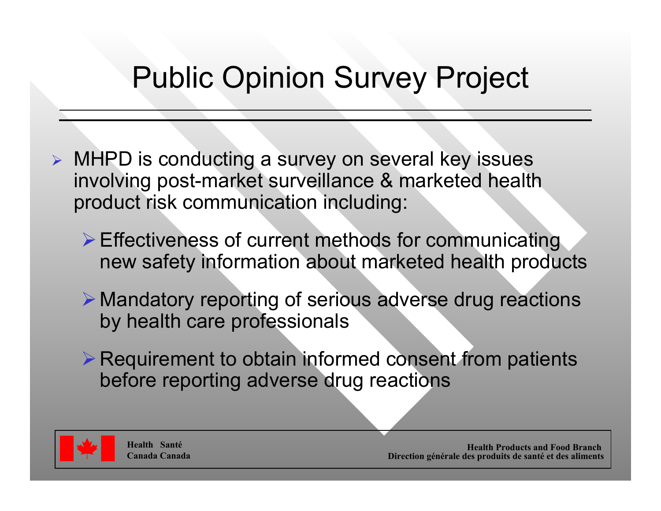## Public Opinion Survey Project

- ¾ MHPD is conducting a survey on several key issues involving post-market surveillance & marketed health product risk communication including:
	- ¾Effectiveness of current methods for communicating new safety information about marketed health products
	- ¾ Mandatory reporting of serious adverse drug reactions by health care professionals
	- $\triangleright$  Requirement to obtain informed consent from patients before reporting adverse drug reactions

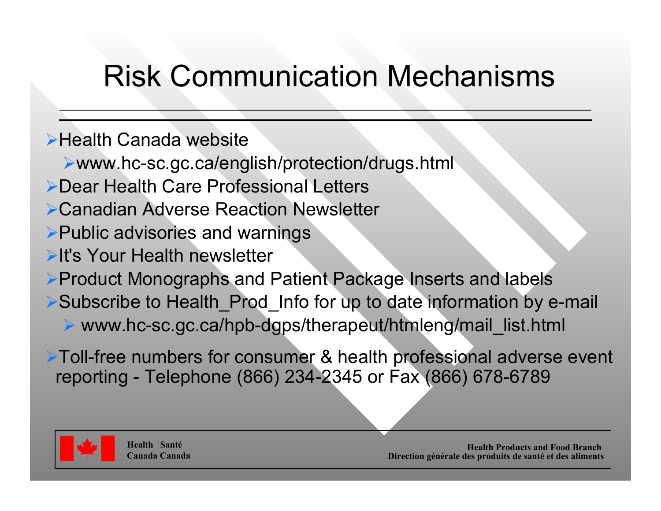# Risk Communication Mechanisms

Health Canada website

- www.hc-sc.gc.ca/english/protection/drugs.html
- Dear Health Care Professional Letters
- Canadian Adverse Reaction Newsletter
- Public advisories and warnings
- It's Your Health newsletter
- Product Monographs and Patient Package Inserts and labels
- Subscribe to Health\_Prod\_Info for up to date information by e-mail
	- www.hc-sc.gc.ca/hpb-dgps/therapeut/htmleng/mail\_list.html

Toll-free numbers for consumer & health professional adverse event reporting - Telephone (866) 234-2345 or Fax (866) 678-6789

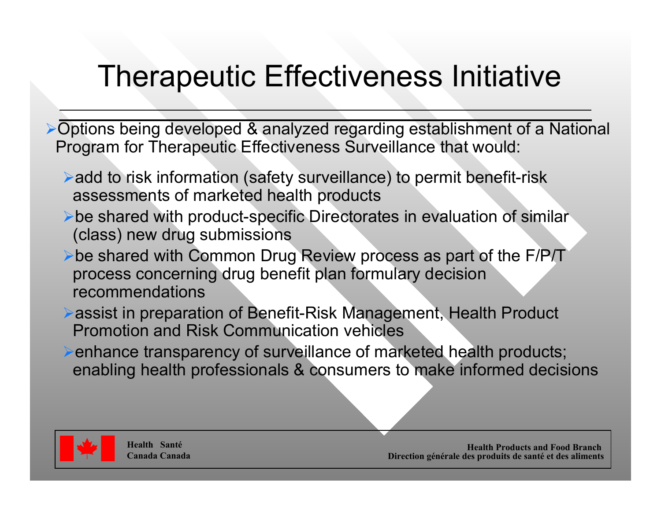# Therapeutic Effectiveness Initiative

¾Options being developed & analyzed regarding establishment of a National Program for Therapeutic Effectiveness Surveillance that would:

- ¾add to risk information (safety surveillance) to permit benefit-risk assessments of marketed health products
- ¾be shared with product-specific Directorates in evaluation of similar (class) new drug submissions
- ¾be shared with Common Drug Review process as part of the F/P/T process concerning drug benefit plan formulary decision recommendations
- ¾assist in preparation of Benefit-Risk Management, Health Product Promotion and Risk Communication vehicles
- ¾enhance transparency of surveillance of marketed health products; enabling health professionals & consumers to make informed decisions

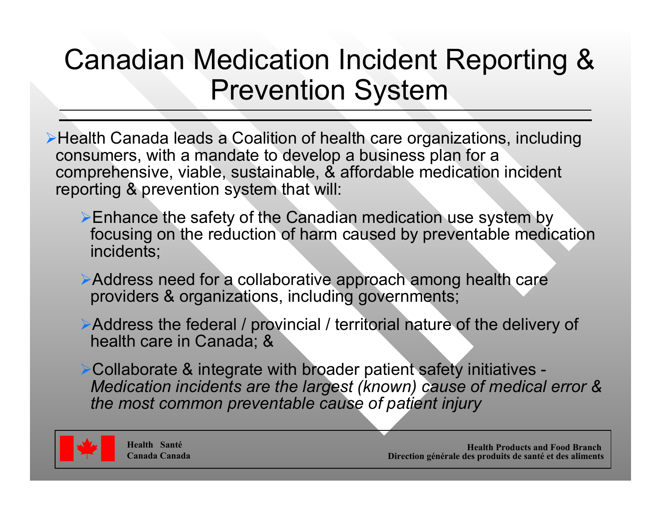#### Canadian Medication Incident Reporting & Prevention System

¾Health Canada leads a Coalition of health care organizations, including consumers, with a mandate to develop a business plan for a comprehensive, viable, sustainable, & affordable medication incident reporting & prevention system that will:

- ¾Enhance the safety of the Canadian medication use system by focusing on the reduction of harm caused by preventable medication incidents;
- ¾Address need for a collaborative approach among health care providers & organizations, including governments;
- ¾Address the federal / provincial / territorial nature of the delivery of health care in Canada; &
- ¾Collaborate & integrate with broader patient safety initiatives *Medication incidents are the largest (known) cause of medical error & the most common preventable cause of patient injury*

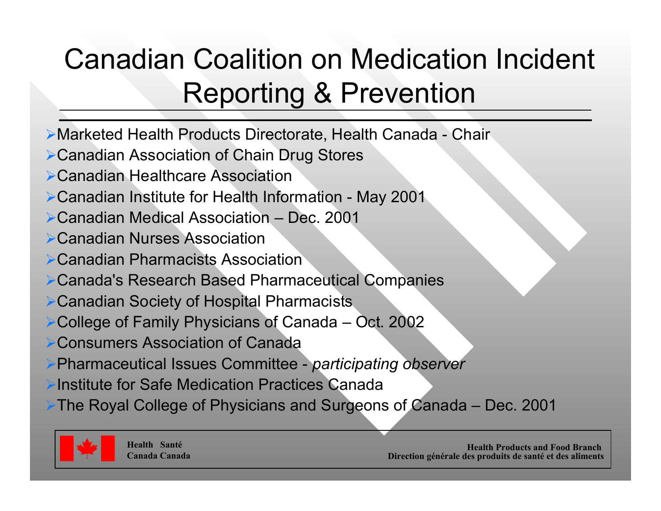## Canadian Coalition on Medication Incident Reporting & Prevention

- Marketed Health Products Directorate, Health Canada Chair
- Canadian Association of Chain Drug Stores
- Canadian Healthcare Association
- Canadian Institute for Health Information May 2001
- Canadian Medical Association Dec. 2001
- Canadian Nurses Association
- **▶ Canadian Pharmacists Association**
- Canada's Research Based Pharmaceutical Companies
- Canadian Society of Hospital Pharmacists
- College of Family Physicians of Canada Oct. 2002
- Consumers Association of Canada
- Pharmaceutical Issues Committee *participating observer*
- Institute for Safe Medication Practices Canada
- The Royal College of Physicians and Surgeons of Canada Dec. 2001

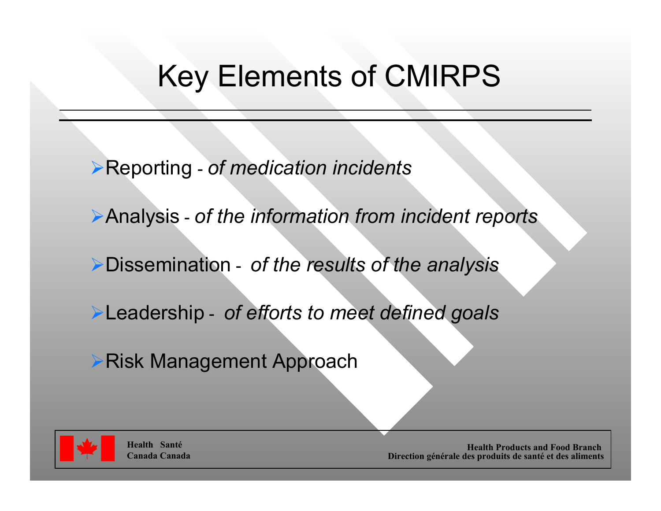## Key Elements of CMIRPS

- ¾Reporting *of medication incidents*
- ¾Analysis *of the information from incident reports*
- ¾Dissemination *of the results of the analysis*
- ¾Leadership *of efforts to meet defined goals*
- ¾Risk Management Approach



**Health SantéCanada Canada**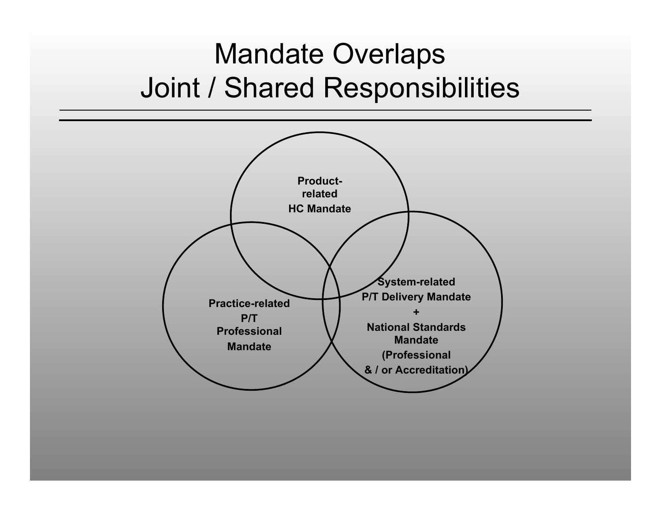#### Mandate Overlaps Joint / Shared Responsibilities

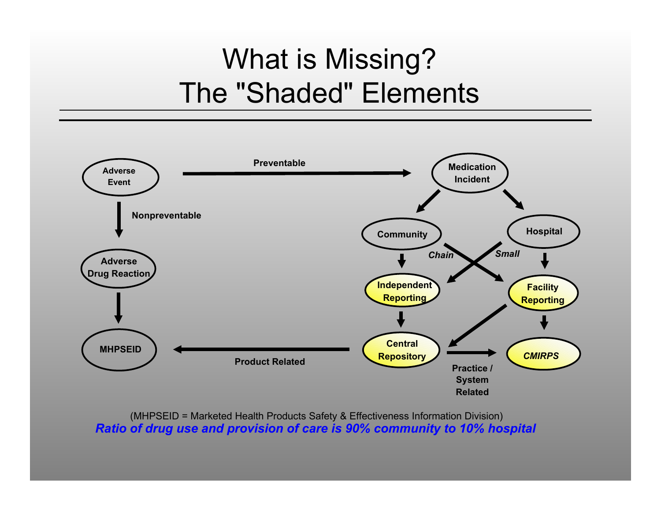#### What is Missing? The "Shaded" Elements



*Ratio of drug use and provision of care is 90% community to 10% hospital* (MHPSEID = Marketed Health Products Safety & Effectiveness Information Division)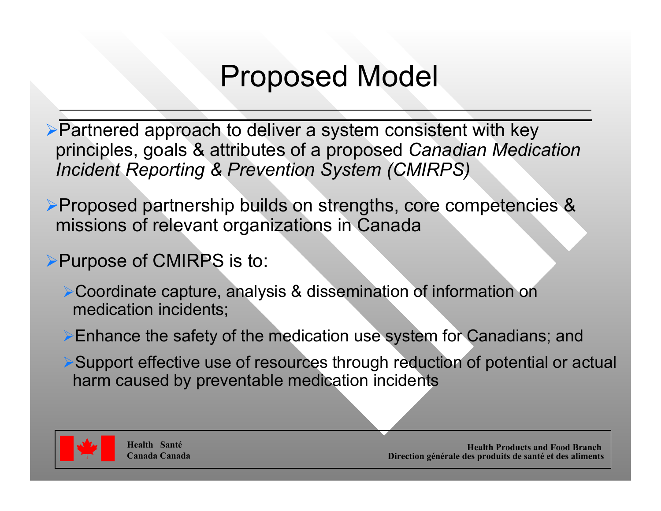#### Proposed Model

¾Partnered approach to deliver a system consistent with key principles, goals & attributes of a proposed *Canadian Medication Incident Reporting & Prevention System (CMIRPS)*

¾Proposed partnership builds on strengths, core competencies & missions of relevant organizations in Canada

#### **≻Purpose of CMIRPS is to:**

¾Coordinate capture, analysis & dissemination of information on medication incidents;

¾Enhance the safety of the medication use system for Canadians; and

¾Support effective use of resources through reduction of potential or actual harm caused by preventable medication incidents

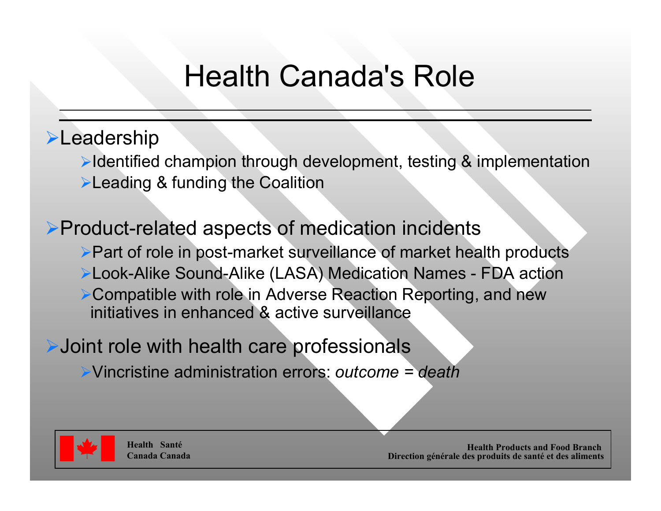## Health Canada's Role

#### **E**Leadership

¾Identified champion through development, testing & implementation **≻Leading & funding the Coalition** 

¾Product-related aspects of medication incidents ¾Part of role in post-market surveillance of market health products ¾Look-Alike Sound-Alike (LASA) Medication Names - FDA action ¾Compatible with role in Adverse Reaction Reporting, and new initiatives in enhanced & active surveillance

¾Joint role with health care professionals

¾Vincristine administration errors: *outcome = death*

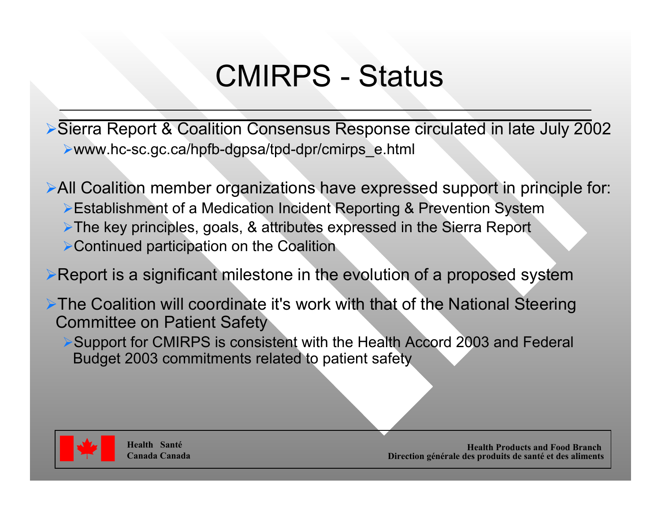### CMIRPS - Status

¾Sierra Report & Coalition Consensus Response circulated in late July 2002 ¾www.hc-sc.gc.ca/hpfb-dgpsa/tpd-dpr/cmirps\_e.html

¾All Coalition member organizations have expressed support in principle for: ¾Establishment of a Medication Incident Reporting & Prevention System ¾The key principles, goals, & attributes expressed in the Sierra Report ¾Continued participation on the Coalition

¾Report is a significant milestone in the evolution of a proposed system

¾The Coalition will coordinate it's work with that of the National Steering Committee on Patient Safety

¾Support for CMIRPS is consistent with the Health Accord 2003 and Federal Budget 2003 commitments related to patient safety



**Health SantéCanada Canada**